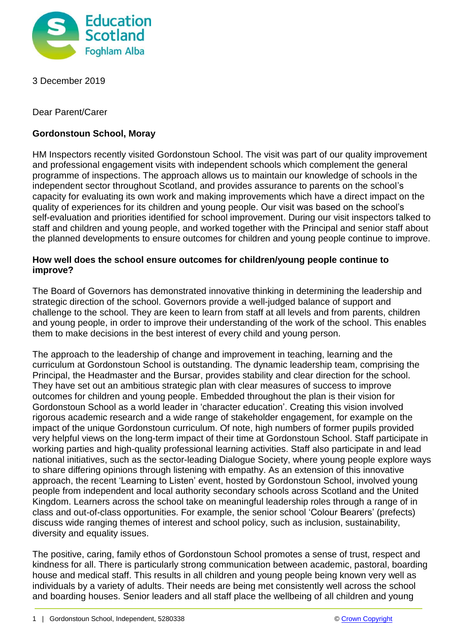

3 December 2019

Dear Parent/Carer

## **Gordonstoun School, Moray**

HM Inspectors recently visited Gordonstoun School. The visit was part of our quality improvement and professional engagement visits with independent schools which complement the general programme of inspections. The approach allows us to maintain our knowledge of schools in the independent sector throughout Scotland, and provides assurance to parents on the school's capacity for evaluating its own work and making improvements which have a direct impact on the quality of experiences for its children and young people. Our visit was based on the school's self-evaluation and priorities identified for school improvement. During our visit inspectors talked to staff and children and young people, and worked together with the Principal and senior staff about the planned developments to ensure outcomes for children and young people continue to improve.

## **How well does the school ensure outcomes for children/young people continue to improve?**

The Board of Governors has demonstrated innovative thinking in determining the leadership and strategic direction of the school. Governors provide a well-judged balance of support and challenge to the school. They are keen to learn from staff at all levels and from parents, children and young people, in order to improve their understanding of the work of the school. This enables them to make decisions in the best interest of every child and young person.

The approach to the leadership of change and improvement in teaching, learning and the curriculum at Gordonstoun School is outstanding. The dynamic leadership team, comprising the Principal, the Headmaster and the Bursar, provides stability and clear direction for the school. They have set out an ambitious strategic plan with clear measures of success to improve outcomes for children and young people. Embedded throughout the plan is their vision for Gordonstoun School as a world leader in 'character education'. Creating this vision involved rigorous academic research and a wide range of stakeholder engagement, for example on the impact of the unique Gordonstoun curriculum. Of note, high numbers of former pupils provided very helpful views on the long-term impact of their time at Gordonstoun School. Staff participate in working parties and high-quality professional learning activities. Staff also participate in and lead national initiatives, such as the sector-leading Dialogue Society, where young people explore ways to share differing opinions through listening with empathy. As an extension of this innovative approach, the recent 'Learning to Listen' event, hosted by Gordonstoun School, involved young people from independent and local authority secondary schools across Scotland and the United Kingdom. Learners across the school take on meaningful leadership roles through a range of in class and out-of-class opportunities. For example, the senior school 'Colour Bearers' (prefects) discuss wide ranging themes of interest and school policy, such as inclusion, sustainability, diversity and equality issues.

The positive, caring, family ethos of Gordonstoun School promotes a sense of trust, respect and kindness for all. There is particularly strong communication between academic, pastoral, boarding house and medical staff. This results in all children and young people being known very well as individuals by a variety of adults. Their needs are being met consistently well across the school and boarding houses. Senior leaders and all staff place the wellbeing of all children and young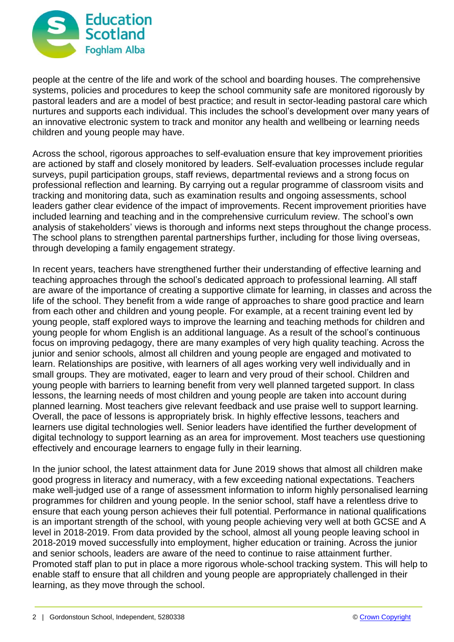

people at the centre of the life and work of the school and boarding houses. The comprehensive systems, policies and procedures to keep the school community safe are monitored rigorously by pastoral leaders and are a model of best practice; and result in sector-leading pastoral care which nurtures and supports each individual. This includes the school's development over many years of an innovative electronic system to track and monitor any health and wellbeing or learning needs children and young people may have.

Across the school, rigorous approaches to self-evaluation ensure that key improvement priorities are actioned by staff and closely monitored by leaders. Self-evaluation processes include regular surveys, pupil participation groups, staff reviews, departmental reviews and a strong focus on professional reflection and learning. By carrying out a regular programme of classroom visits and tracking and monitoring data, such as examination results and ongoing assessments, school leaders gather clear evidence of the impact of improvements. Recent improvement priorities have included learning and teaching and in the comprehensive curriculum review. The school's own analysis of stakeholders' views is thorough and informs next steps throughout the change process. The school plans to strengthen parental partnerships further, including for those living overseas, through developing a family engagement strategy.

In recent years, teachers have strengthened further their understanding of effective learning and teaching approaches through the school's dedicated approach to professional learning. All staff are aware of the importance of creating a supportive climate for learning, in classes and across the life of the school. They benefit from a wide range of approaches to share good practice and learn from each other and children and young people. For example, at a recent training event led by young people, staff explored ways to improve the learning and teaching methods for children and young people for whom English is an additional language. As a result of the school's continuous focus on improving pedagogy, there are many examples of very high quality teaching. Across the junior and senior schools, almost all children and young people are engaged and motivated to learn. Relationships are positive, with learners of all ages working very well individually and in small groups. They are motivated, eager to learn and very proud of their school. Children and young people with barriers to learning benefit from very well planned targeted support. In class lessons, the learning needs of most children and young people are taken into account during planned learning. Most teachers give relevant feedback and use praise well to support learning. Overall, the pace of lessons is appropriately brisk. In highly effective lessons, teachers and learners use digital technologies well. Senior leaders have identified the further development of digital technology to support learning as an area for improvement. Most teachers use questioning effectively and encourage learners to engage fully in their learning.

In the junior school, the latest attainment data for June 2019 shows that almost all children make good progress in literacy and numeracy, with a few exceeding national expectations. Teachers make well-judged use of a range of assessment information to inform highly personalised learning programmes for children and young people. In the senior school, staff have a relentless drive to ensure that each young person achieves their full potential. Performance in national qualifications is an important strength of the school, with young people achieving very well at both GCSE and A level in 2018-2019. From data provided by the school, almost all young people leaving school in 2018-2019 moved successfully into employment, higher education or training. Across the junior and senior schools, leaders are aware of the need to continue to raise attainment further. Promoted staff plan to put in place a more rigorous whole-school tracking system. This will help to enable staff to ensure that all children and young people are appropriately challenged in their learning, as they move through the school.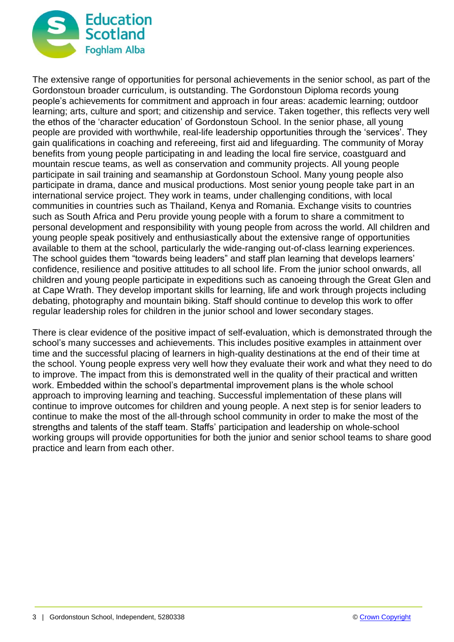

The extensive range of opportunities for personal achievements in the senior school, as part of the Gordonstoun broader curriculum, is outstanding. The Gordonstoun Diploma records young people's achievements for commitment and approach in four areas: academic learning; outdoor learning; arts, culture and sport; and citizenship and service. Taken together, this reflects very well the ethos of the 'character education' of Gordonstoun School. In the senior phase, all young people are provided with worthwhile, real-life leadership opportunities through the 'services'. They gain qualifications in coaching and refereeing, first aid and lifeguarding. The community of Moray benefits from young people participating in and leading the local fire service, coastguard and mountain rescue teams, as well as conservation and community projects. All young people participate in sail training and seamanship at Gordonstoun School. Many young people also participate in drama, dance and musical productions. Most senior young people take part in an international service project. They work in teams, under challenging conditions, with local communities in countries such as Thailand, Kenya and Romania. Exchange visits to countries such as South Africa and Peru provide young people with a forum to share a commitment to personal development and responsibility with young people from across the world. All children and young people speak positively and enthusiastically about the extensive range of opportunities available to them at the school, particularly the wide-ranging out-of-class learning experiences. The school guides them "towards being leaders" and staff plan learning that develops learners' confidence, resilience and positive attitudes to all school life. From the junior school onwards, all children and young people participate in expeditions such as canoeing through the Great Glen and at Cape Wrath. They develop important skills for learning, life and work through projects including debating, photography and mountain biking. Staff should continue to develop this work to offer regular leadership roles for children in the junior school and lower secondary stages.

There is clear evidence of the positive impact of self-evaluation, which is demonstrated through the school's many successes and achievements. This includes positive examples in attainment over time and the successful placing of learners in high-quality destinations at the end of their time at the school. Young people express very well how they evaluate their work and what they need to do to improve. The impact from this is demonstrated well in the quality of their practical and written work. Embedded within the school's departmental improvement plans is the whole school approach to improving learning and teaching. Successful implementation of these plans will continue to improve outcomes for children and young people. A next step is for senior leaders to continue to make the most of the all-through school community in order to make the most of the strengths and talents of the staff team. Staffs' participation and leadership on whole-school working groups will provide opportunities for both the junior and senior school teams to share good practice and learn from each other.